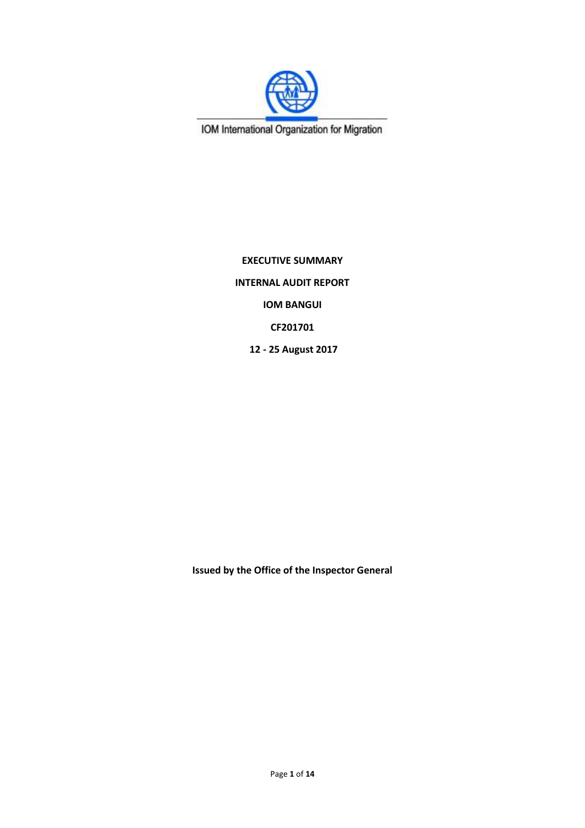

IOM International Organization for Migration

**EXECUTIVE SUMMARY INTERNAL AUDIT REPORT IOM BANGUI CF201701 12 - 25 August 2017**

**Issued by the Office of the Inspector General**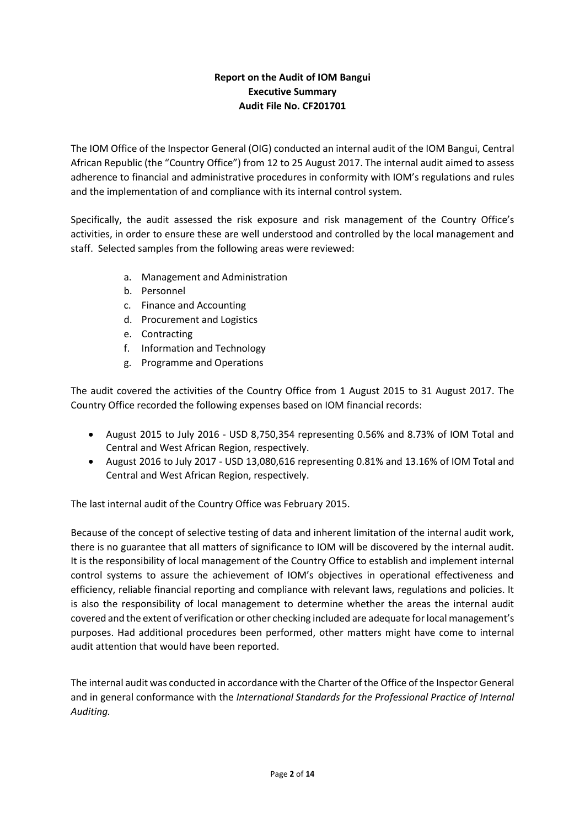# **Report on the Audit of IOM Bangui Executive Summary Audit File No. CF201701**

The IOM Office of the Inspector General (OIG) conducted an internal audit of the IOM Bangui, Central African Republic (the "Country Office") from 12 to 25 August 2017. The internal audit aimed to assess adherence to financial and administrative procedures in conformity with IOM's regulations and rules and the implementation of and compliance with its internal control system.

Specifically, the audit assessed the risk exposure and risk management of the Country Office's activities, in order to ensure these are well understood and controlled by the local management and staff. Selected samples from the following areas were reviewed:

- a. Management and Administration
- b. Personnel
- c. Finance and Accounting
- d. Procurement and Logistics
- e. Contracting
- f. Information and Technology
- g. Programme and Operations

The audit covered the activities of the Country Office from 1 August 2015 to 31 August 2017. The Country Office recorded the following expenses based on IOM financial records:

- August 2015 to July 2016 USD 8,750,354 representing 0.56% and 8.73% of IOM Total and Central and West African Region, respectively.
- August 2016 to July 2017 USD 13,080,616 representing 0.81% and 13.16% of IOM Total and Central and West African Region, respectively.

The last internal audit of the Country Office was February 2015.

Because of the concept of selective testing of data and inherent limitation of the internal audit work, there is no guarantee that all matters of significance to IOM will be discovered by the internal audit. It is the responsibility of local management of the Country Office to establish and implement internal control systems to assure the achievement of IOM's objectives in operational effectiveness and efficiency, reliable financial reporting and compliance with relevant laws, regulations and policies. It is also the responsibility of local management to determine whether the areas the internal audit covered and the extent of verification or other checking included are adequate for local management's purposes. Had additional procedures been performed, other matters might have come to internal audit attention that would have been reported.

The internal audit was conducted in accordance with the Charter of the Office of the Inspector General and in general conformance with the *International Standards for the Professional Practice of Internal Auditing.*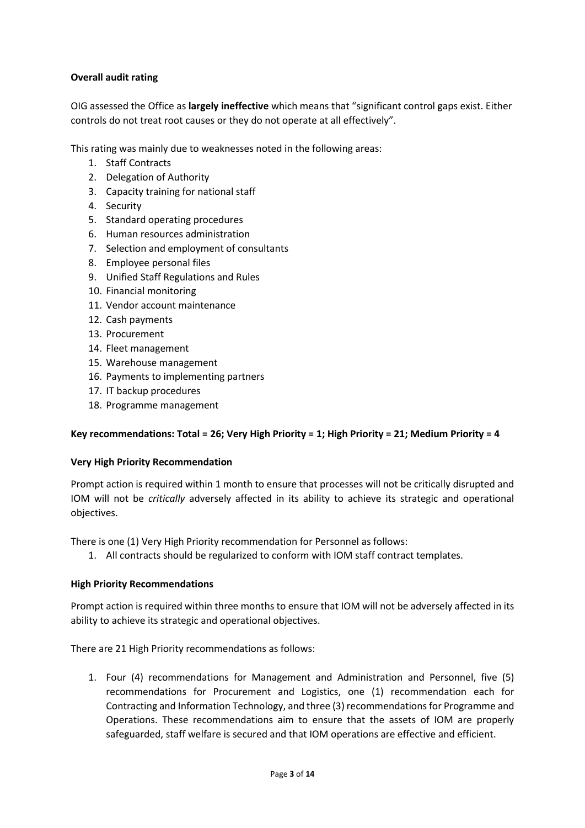### **Overall audit rating**

OIG assessed the Office as **largely ineffective** which means that "significant control gaps exist. Either controls do not treat root causes or they do not operate at all effectively".

This rating was mainly due to weaknesses noted in the following areas:

- 1. Staff Contracts
- 2. Delegation of Authority
- 3. Capacity training for national staff
- 4. Security
- 5. Standard operating procedures
- 6. Human resources administration
- 7. Selection and employment of consultants
- 8. Employee personal files
- 9. Unified Staff Regulations and Rules
- 10. Financial monitoring
- 11. Vendor account maintenance
- 12. Cash payments
- 13. Procurement
- 14. Fleet management
- 15. Warehouse management
- 16. Payments to implementing partners
- 17. IT backup procedures
- 18. Programme management

#### **Key recommendations: Total = 26; Very High Priority = 1; High Priority = 21; Medium Priority = 4**

#### **Very High Priority Recommendation**

Prompt action is required within 1 month to ensure that processes will not be critically disrupted and IOM will not be *critically* adversely affected in its ability to achieve its strategic and operational objectives.

There is one (1) Very High Priority recommendation for Personnel as follows:

1. All contracts should be regularized to conform with IOM staff contract templates.

#### **High Priority Recommendations**

Prompt action is required within three months to ensure that IOM will not be adversely affected in its ability to achieve its strategic and operational objectives.

There are 21 High Priority recommendations as follows:

1. Four (4) recommendations for Management and Administration and Personnel, five (5) recommendations for Procurement and Logistics, one (1) recommendation each for Contracting and Information Technology, and three (3) recommendations for Programme and Operations. These recommendations aim to ensure that the assets of IOM are properly safeguarded, staff welfare is secured and that IOM operations are effective and efficient.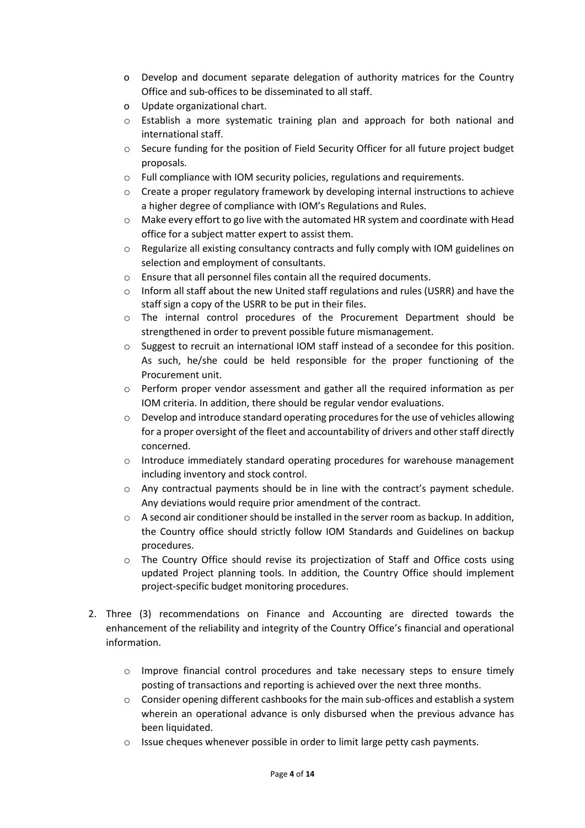- o Develop and document separate delegation of authority matrices for the Country Office and sub-offices to be disseminated to all staff.
- o Update organizational chart.
- o Establish a more systematic training plan and approach for both national and international staff.
- o Secure funding for the position of Field Security Officer for all future project budget proposals.
- o Full compliance with IOM security policies, regulations and requirements.
- o Create a proper regulatory framework by developing internal instructions to achieve a higher degree of compliance with IOM's Regulations and Rules.
- o Make every effort to go live with the automated HR system and coordinate with Head office for a subject matter expert to assist them.
- o Regularize all existing consultancy contracts and fully comply with IOM guidelines on selection and employment of consultants.
- o Ensure that all personnel files contain all the required documents.
- o Inform all staff about the new United staff regulations and rules (USRR) and have the staff sign a copy of the USRR to be put in their files.
- o The internal control procedures of the Procurement Department should be strengthened in order to prevent possible future mismanagement.
- o Suggest to recruit an international IOM staff instead of a secondee for this position. As such, he/she could be held responsible for the proper functioning of the Procurement unit.
- $\circ$  Perform proper vendor assessment and gather all the required information as per IOM criteria. In addition, there should be regular vendor evaluations.
- $\circ$  Develop and introduce standard operating procedures for the use of vehicles allowing for a proper oversight of the fleet and accountability of drivers and other staff directly concerned.
- $\circ$  Introduce immediately standard operating procedures for warehouse management including inventory and stock control.
- o Any contractual payments should be in line with the contract's payment schedule. Any deviations would require prior amendment of the contract.
- o A second air conditioner should be installed in the server room as backup. In addition, the Country office should strictly follow IOM Standards and Guidelines on backup procedures.
- $\circ$  The Country Office should revise its projectization of Staff and Office costs using updated Project planning tools. In addition, the Country Office should implement project-specific budget monitoring procedures.
- 2. Three (3) recommendations on Finance and Accounting are directed towards the enhancement of the reliability and integrity of the Country Office's financial and operational information.
	- o Improve financial control procedures and take necessary steps to ensure timely posting of transactions and reporting is achieved over the next three months.
	- $\circ$  Consider opening different cashbooks for the main sub-offices and establish a system wherein an operational advance is only disbursed when the previous advance has been liquidated.
	- $\circ$  Issue cheques whenever possible in order to limit large petty cash payments.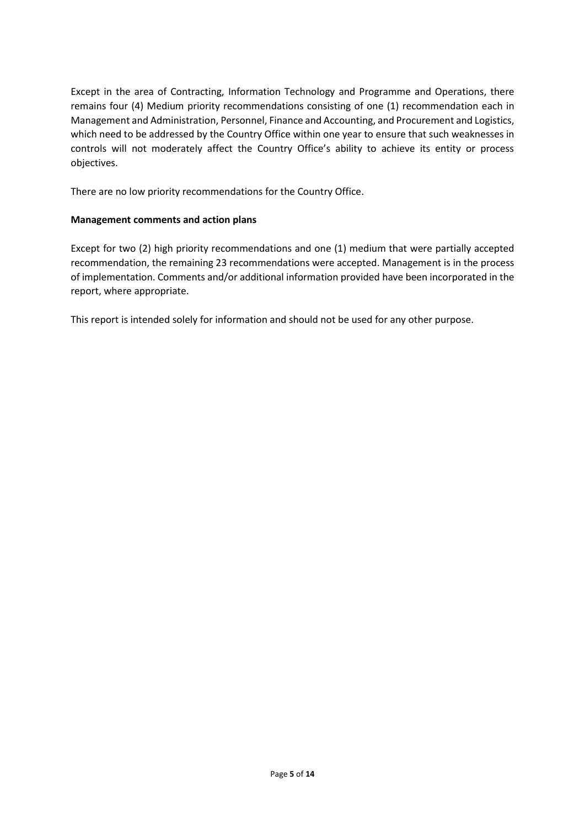Except in the area of Contracting, Information Technology and Programme and Operations, there remains four (4) Medium priority recommendations consisting of one (1) recommendation each in Management and Administration, Personnel, Finance and Accounting, and Procurement and Logistics, which need to be addressed by the Country Office within one year to ensure that such weaknesses in controls will not moderately affect the Country Office's ability to achieve its entity or process objectives.

There are no low priority recommendations for the Country Office.

## **Management comments and action plans**

Except for two (2) high priority recommendations and one (1) medium that were partially accepted recommendation, the remaining 23 recommendations were accepted. Management is in the process of implementation. Comments and/or additional information provided have been incorporated in the report, where appropriate.

This report is intended solely for information and should not be used for any other purpose.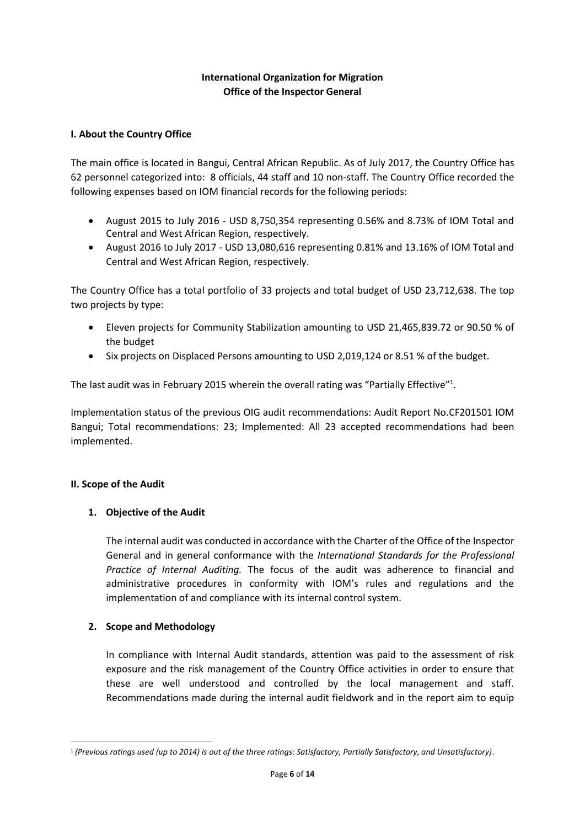### **International Organization for Migration Office of the Inspector General**

### **I. About the Country Office**

The main office is located in Bangui, Central African Republic. As of July 2017, the Country Office has 62 personnel categorized into: 8 officials, 44 staff and 10 non-staff. The Country Office recorded the following expenses based on IOM financial records for the following periods:

- August 2015 to July 2016 USD 8,750,354 representing 0.56% and 8.73% of IOM Total and Central and West African Region, respectively.
- August 2016 to July 2017 USD 13,080,616 representing 0.81% and 13.16% of IOM Total and Central and West African Region, respectively.

The Country Office has a total portfolio of 33 projects and total budget of USD 23,712,638. The top two projects by type:

- Eleven projects for Community Stabilization amounting to USD 21,465,839.72 or 90.50 % of the budget
- Six projects on Displaced Persons amounting to USD 2,019,124 or 8.51 % of the budget.

The last audit was in February 2015 wherein the overall rating was "Partially Effective"<sup>1</sup>.

Implementation status of the previous OIG audit recommendations: Audit Report No.CF201501 IOM Bangui; Total recommendations: 23; Implemented: All 23 accepted recommendations had been implemented.

#### **II. Scope of the Audit**

1

### **1. Objective of the Audit**

The internal audit was conducted in accordance with the Charter of the Office of the Inspector General and in general conformance with the *International Standards for the Professional Practice of Internal Auditing.* The focus of the audit was adherence to financial and administrative procedures in conformity with IOM's rules and regulations and the implementation of and compliance with its internal control system.

### **2. Scope and Methodology**

In compliance with Internal Audit standards, attention was paid to the assessment of risk exposure and the risk management of the Country Office activities in order to ensure that these are well understood and controlled by the local management and staff. Recommendations made during the internal audit fieldwork and in the report aim to equip

<sup>1</sup> *(Previous ratings used (up to 2014) is out of the three ratings: Satisfactory, Partially Satisfactory, and Unsatisfactory)*.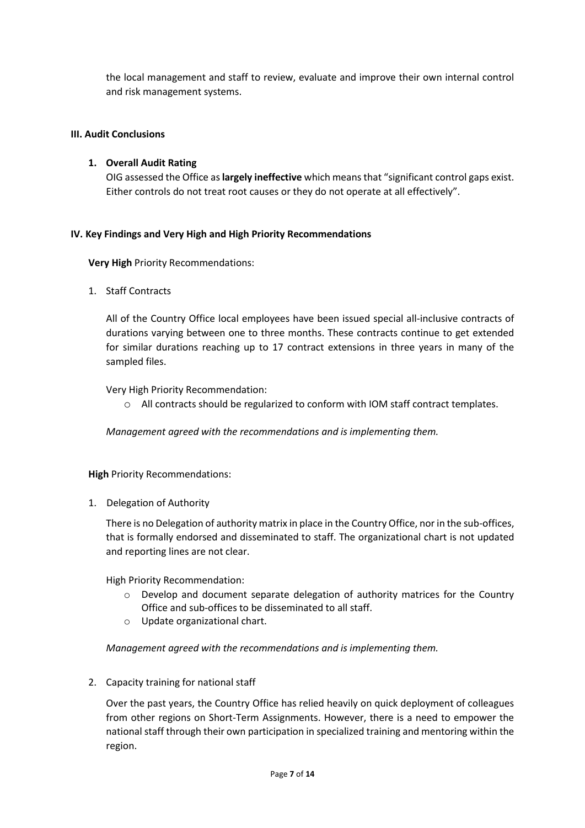the local management and staff to review, evaluate and improve their own internal control and risk management systems.

### **III. Audit Conclusions**

### **1. Overall Audit Rating**

OIG assessed the Office as **largely ineffective** which means that "significant control gaps exist. Either controls do not treat root causes or they do not operate at all effectively".

#### **IV. Key Findings and Very High and High Priority Recommendations**

**Very High** Priority Recommendations:

1. Staff Contracts

All of the Country Office local employees have been issued special all-inclusive contracts of durations varying between one to three months. These contracts continue to get extended for similar durations reaching up to 17 contract extensions in three years in many of the sampled files.

Very High Priority Recommendation:

o All contracts should be regularized to conform with IOM staff contract templates.

*Management agreed with the recommendations and is implementing them.* 

**High** Priority Recommendations:

1. Delegation of Authority

There is no Delegation of authority matrix in place in the Country Office, nor in the sub-offices, that is formally endorsed and disseminated to staff. The organizational chart is not updated and reporting lines are not clear.

High Priority Recommendation:

- o Develop and document separate delegation of authority matrices for the Country Office and sub-offices to be disseminated to all staff.
- o Update organizational chart.

*Management agreed with the recommendations and is implementing them.* 

2. Capacity training for national staff

Over the past years, the Country Office has relied heavily on quick deployment of colleagues from other regions on Short-Term Assignments. However, there is a need to empower the national staff through their own participation in specialized training and mentoring within the region.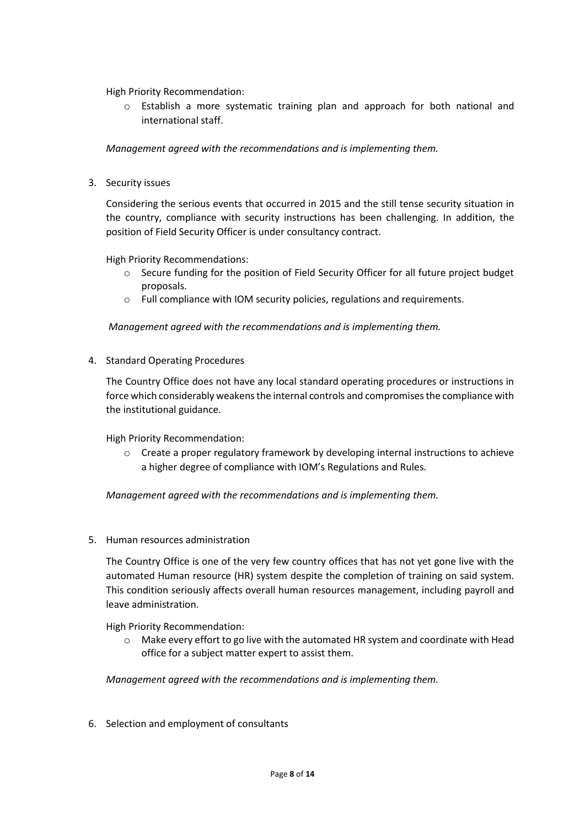High Priority Recommendation:

o Establish a more systematic training plan and approach for both national and international staff.

*Management agreed with the recommendations and is implementing them.* 

3. Security issues

Considering the serious events that occurred in 2015 and the still tense security situation in the country, compliance with security instructions has been challenging. In addition, the position of Field Security Officer is under consultancy contract.

High Priority Recommendations:

- o Secure funding for the position of Field Security Officer for all future project budget proposals.
- o Full compliance with IOM security policies, regulations and requirements.

*Management agreed with the recommendations and is implementing them.* 

4. Standard Operating Procedures

The Country Office does not have any local standard operating procedures or instructions in force which considerably weakens the internal controls and compromises the compliance with the institutional guidance.

High Priority Recommendation:

o Create a proper regulatory framework by developing internal instructions to achieve a higher degree of compliance with IOM's Regulations and Rules.

*Management agreed with the recommendations and is implementing them.*

5. Human resources administration

The Country Office is one of the very few country offices that has not yet gone live with the automated Human resource (HR) system despite the completion of training on said system. This condition seriously affects overall human resources management, including payroll and leave administration.

High Priority Recommendation:

o Make every effort to go live with the automated HR system and coordinate with Head office for a subject matter expert to assist them.

*Management agreed with the recommendations and is implementing them.*

6. Selection and employment of consultants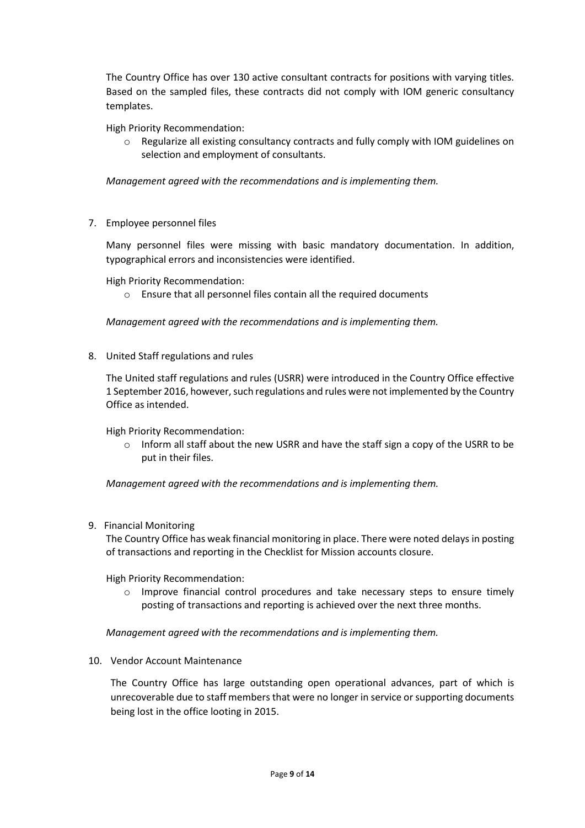The Country Office has over 130 active consultant contracts for positions with varying titles. Based on the sampled files, these contracts did not comply with IOM generic consultancy templates.

High Priority Recommendation:

Regularize all existing consultancy contracts and fully comply with IOM guidelines on selection and employment of consultants.

*Management agreed with the recommendations and is implementing them.*

7. Employee personnel files

Many personnel files were missing with basic mandatory documentation. In addition, typographical errors and inconsistencies were identified.

High Priority Recommendation:

o Ensure that all personnel files contain all the required documents

*Management agreed with the recommendations and is implementing them.*

8. United Staff regulations and rules

The United staff regulations and rules (USRR) were introduced in the Country Office effective 1 September 2016, however, such regulations and rules were not implemented by the Country Office as intended.

High Priority Recommendation:

 $\circ$  Inform all staff about the new USRR and have the staff sign a copy of the USRR to be put in their files.

*Management agreed with the recommendations and is implementing them.*

9. Financial Monitoring

The Country Office has weak financial monitoring in place. There were noted delays in posting of transactions and reporting in the Checklist for Mission accounts closure.

High Priority Recommendation:

o Improve financial control procedures and take necessary steps to ensure timely posting of transactions and reporting is achieved over the next three months.

*Management agreed with the recommendations and is implementing them.*

10. Vendor Account Maintenance

The Country Office has large outstanding open operational advances, part of which is unrecoverable due to staff members that were no longer in service or supporting documents being lost in the office looting in 2015.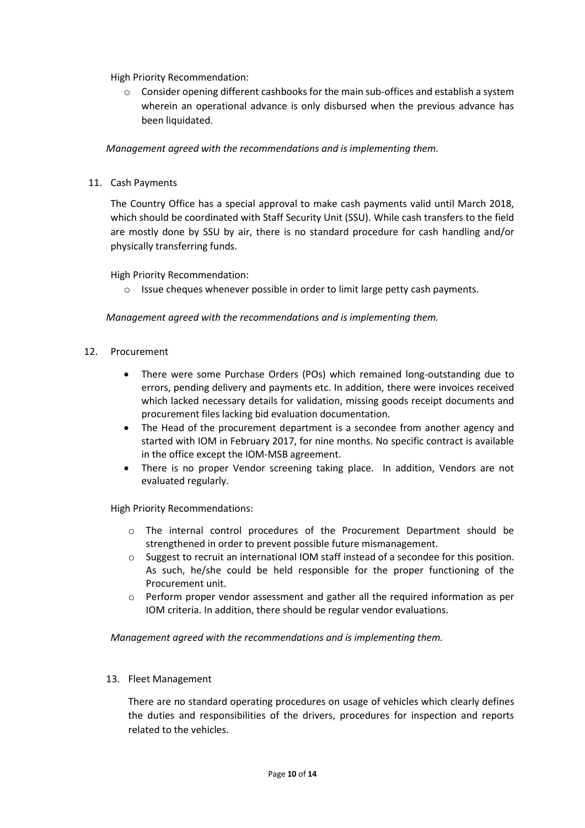High Priority Recommendation:

o Consider opening different cashbooks for the main sub-offices and establish a system wherein an operational advance is only disbursed when the previous advance has been liquidated.

*Management agreed with the recommendations and is implementing them.*

11. Cash Payments

The Country Office has a special approval to make cash payments valid until March 2018, which should be coordinated with Staff Security Unit (SSU). While cash transfers to the field are mostly done by SSU by air, there is no standard procedure for cash handling and/or physically transferring funds.

#### High Priority Recommendation:

 $\circ$  Issue cheques whenever possible in order to limit large petty cash payments.

#### *Management agreed with the recommendations and is implementing them.*

#### 12. Procurement

- There were some Purchase Orders (POs) which remained long-outstanding due to errors, pending delivery and payments etc. In addition, there were invoices received which lacked necessary details for validation, missing goods receipt documents and procurement files lacking bid evaluation documentation.
- The Head of the procurement department is a secondee from another agency and started with IOM in February 2017, for nine months. No specific contract is available in the office except the IOM-MSB agreement.
- There is no proper Vendor screening taking place. In addition, Vendors are not evaluated regularly.

High Priority Recommendations:

- o The internal control procedures of the Procurement Department should be strengthened in order to prevent possible future mismanagement.
- o Suggest to recruit an international IOM staff instead of a secondee for this position. As such, he/she could be held responsible for the proper functioning of the Procurement unit.
- $\circ$  Perform proper vendor assessment and gather all the required information as per IOM criteria. In addition, there should be regular vendor evaluations.

*Management agreed with the recommendations and is implementing them.*

#### 13. Fleet Management

There are no standard operating procedures on usage of vehicles which clearly defines the duties and responsibilities of the drivers, procedures for inspection and reports related to the vehicles.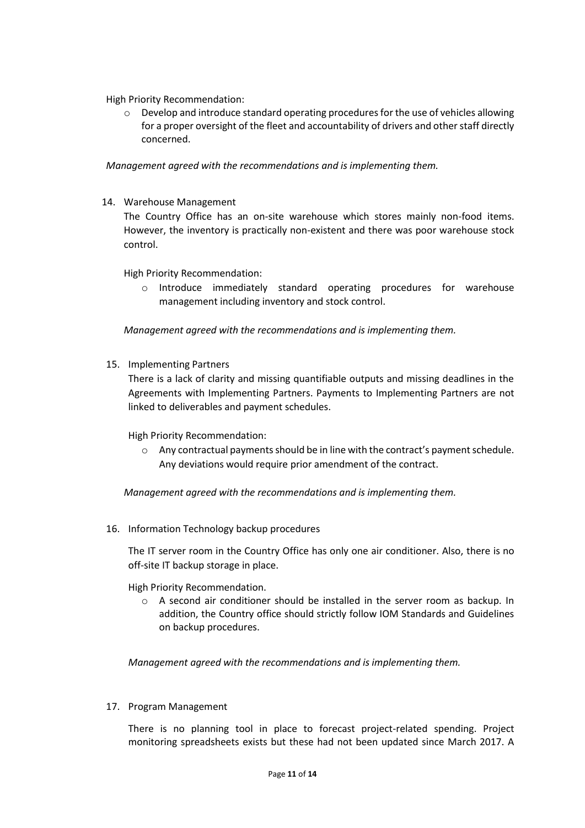High Priority Recommendation:

o Develop and introduce standard operating proceduresfor the use of vehicles allowing for a proper oversight of the fleet and accountability of drivers and other staff directly concerned.

*Management agreed with the recommendations and is implementing them.*

14. Warehouse Management

The Country Office has an on-site warehouse which stores mainly non-food items. However, the inventory is practically non-existent and there was poor warehouse stock control.

High Priority Recommendation:

o Introduce immediately standard operating procedures for warehouse management including inventory and stock control.

*Management agreed with the recommendations and is implementing them.*

15. Implementing Partners

There is a lack of clarity and missing quantifiable outputs and missing deadlines in the Agreements with Implementing Partners. Payments to Implementing Partners are not linked to deliverables and payment schedules.

High Priority Recommendation:

 $\circ$  Any contractual payments should be in line with the contract's payment schedule. Any deviations would require prior amendment of the contract.

*Management agreed with the recommendations and is implementing them.*

16. Information Technology backup procedures

The IT server room in the Country Office has only one air conditioner. Also, there is no off-site IT backup storage in place.

High Priority Recommendation.

 $\circ$  A second air conditioner should be installed in the server room as backup. In addition, the Country office should strictly follow IOM Standards and Guidelines on backup procedures.

*Management agreed with the recommendations and is implementing them.*

17. Program Management

There is no planning tool in place to forecast project-related spending. Project monitoring spreadsheets exists but these had not been updated since March 2017. A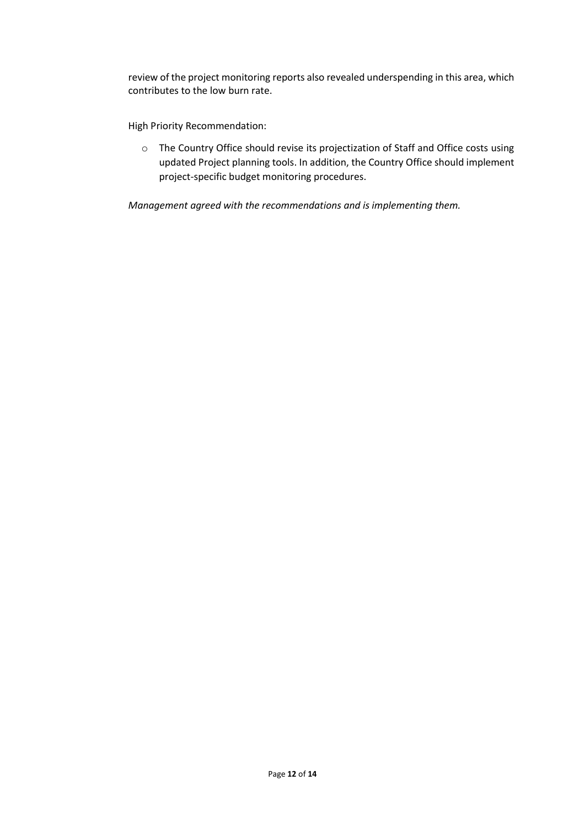review of the project monitoring reports also revealed underspending in this area, which contributes to the low burn rate.

High Priority Recommendation:

o The Country Office should revise its projectization of Staff and Office costs using updated Project planning tools. In addition, the Country Office should implement project-specific budget monitoring procedures.

*Management agreed with the recommendations and is implementing them.*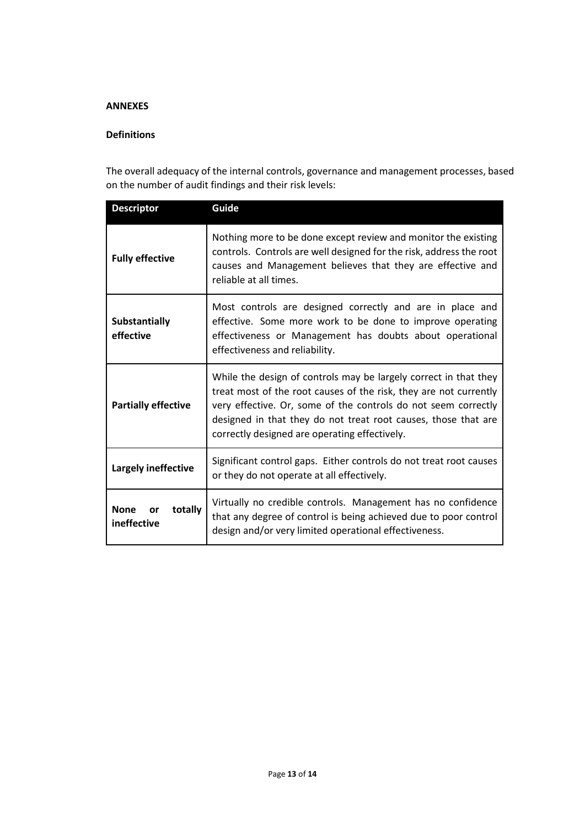### **ANNEXES**

### **Definitions**

The overall adequacy of the internal controls, governance and management processes, based on the number of audit findings and their risk levels:

| <b>Descriptor</b>                           | Guide                                                                                                                                                                                                                                                                                                                      |  |
|---------------------------------------------|----------------------------------------------------------------------------------------------------------------------------------------------------------------------------------------------------------------------------------------------------------------------------------------------------------------------------|--|
| <b>Fully effective</b>                      | Nothing more to be done except review and monitor the existing<br>controls. Controls are well designed for the risk, address the root<br>causes and Management believes that they are effective and<br>reliable at all times.                                                                                              |  |
| <b>Substantially</b><br>effective           | Most controls are designed correctly and are in place and<br>effective. Some more work to be done to improve operating<br>effectiveness or Management has doubts about operational<br>effectiveness and reliability.                                                                                                       |  |
| <b>Partially effective</b>                  | While the design of controls may be largely correct in that they<br>treat most of the root causes of the risk, they are not currently<br>very effective. Or, some of the controls do not seem correctly<br>designed in that they do not treat root causes, those that are<br>correctly designed are operating effectively. |  |
| Largely ineffective                         | Significant control gaps. Either controls do not treat root causes<br>or they do not operate at all effectively.                                                                                                                                                                                                           |  |
| <b>None</b><br>totally<br>or<br>ineffective | Virtually no credible controls. Management has no confidence<br>that any degree of control is being achieved due to poor control<br>design and/or very limited operational effectiveness.                                                                                                                                  |  |